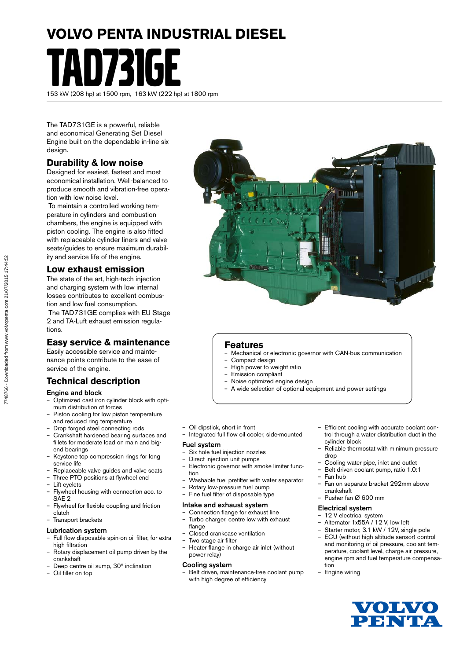# **VOLVO PENTA INDUSTRIAL DIESEL**

TAD731GE 153 kW (208 hp) at 1500 rpm, 163 kW (222 hp) at 1800 rpm

The TAD731GE is a powerful, reliable and economical Generating Set Diesel Engine built on the dependable in-line six design.

## **Durability & low noise**

Designed for easiest, fastest and most economical installation. Well-balanced to produce smooth and vibration-free operation with low noise level.

 To maintain a controlled working temperature in cylinders and combustion chambers, the engine is equipped with piston cooling. The engine is also fitted with replaceable cylinder liners and valve seats/guides to ensure maximum durability and service life of the engine.

### **Low exhaust emission**

The state of the art, high-tech injection and charging system with low internal losses contributes to excellent combustion and low fuel consumption.

 The TAD731GE complies with EU Stage 2 and TA-Luft exhaust emission regulations.

## **Easy service & maintenance**

Easily accessible service and maintenance points contribute to the ease of service of the engine.

## **Technical description**

#### Engine and block

- Optimized cast iron cylinder block with optimum distribution of forces
- Piston cooling for low piston temperature and reduced ring temperature
- Drop forged steel connecting rods
- Crankshaft hardened bearing surfaces and fillets for moderate load on main and bigend bearings
- Keystone top compression rings for long service life
- Replaceable valve guides and valve seats
- Three PTO positions at flywheel end
- Lift evelets
- Flywheel housing with connection acc. to SAE 2
- Flywheel for flexible coupling and friction clutch
- Transport brackets

#### Lubrication system

- Full flow disposable spin-on oil filter, for extra high filtration
- Rotary displacement oil pump driven by the crankshaft
- Deep centre oil sump, 30° inclination
- Oil filler on top



### **Features**

- Mechanical or electronic governor with CAN-bus communication
- Compact design
- High power to weight ratio
- Emission compliant
- Noise optimized engine design
- A wide selection of optional equipment and power settings
- Oil dipstick, short in front
- Integrated full flow oil cooler, side-mounted

#### Fuel system

- Six hole fuel injection nozzles<br>- Direct injection unit numps
- Direct injection unit pumps
- Electronic governor with smoke limiter function
- Washable fuel prefilter with water separator
- Rotary low-pressure fuel pump
- Fine fuel filter of disposable type

#### Intake and exhaust system

- Connection flange for exhaust line – Turbo charger, centre low with exhaust
- flange – Closed crankcase ventilation
- Two stage air filter
- Heater flange in charge air inlet (without power relay)

#### Cooling system

– Belt driven, maintenance-free coolant pump with high degree of efficiency

- Efficient cooling with accurate coolant control through a water distribution duct in the cylinder block
- Reliable thermostat with minimum pressure drop
- Cooling water pipe, inlet and outlet
- Belt driven coolant pump, ratio 1.0:1
- Fan hub
- Fan on separate bracket 292mm above crankshaft
- Pusher fan Ø 600 mm

#### Electrical system

- 12 V electrical system
- Alternator 1x55A / 12 V, low left
- Starter motor, 3.1 kW / 12V, single pole – ECU (without high altitude sensor) control and monitoring of oil pressure, coolant temperature, coolant level, charge air pressure, engine rpm and fuel temperature compensation
- Engine wiring